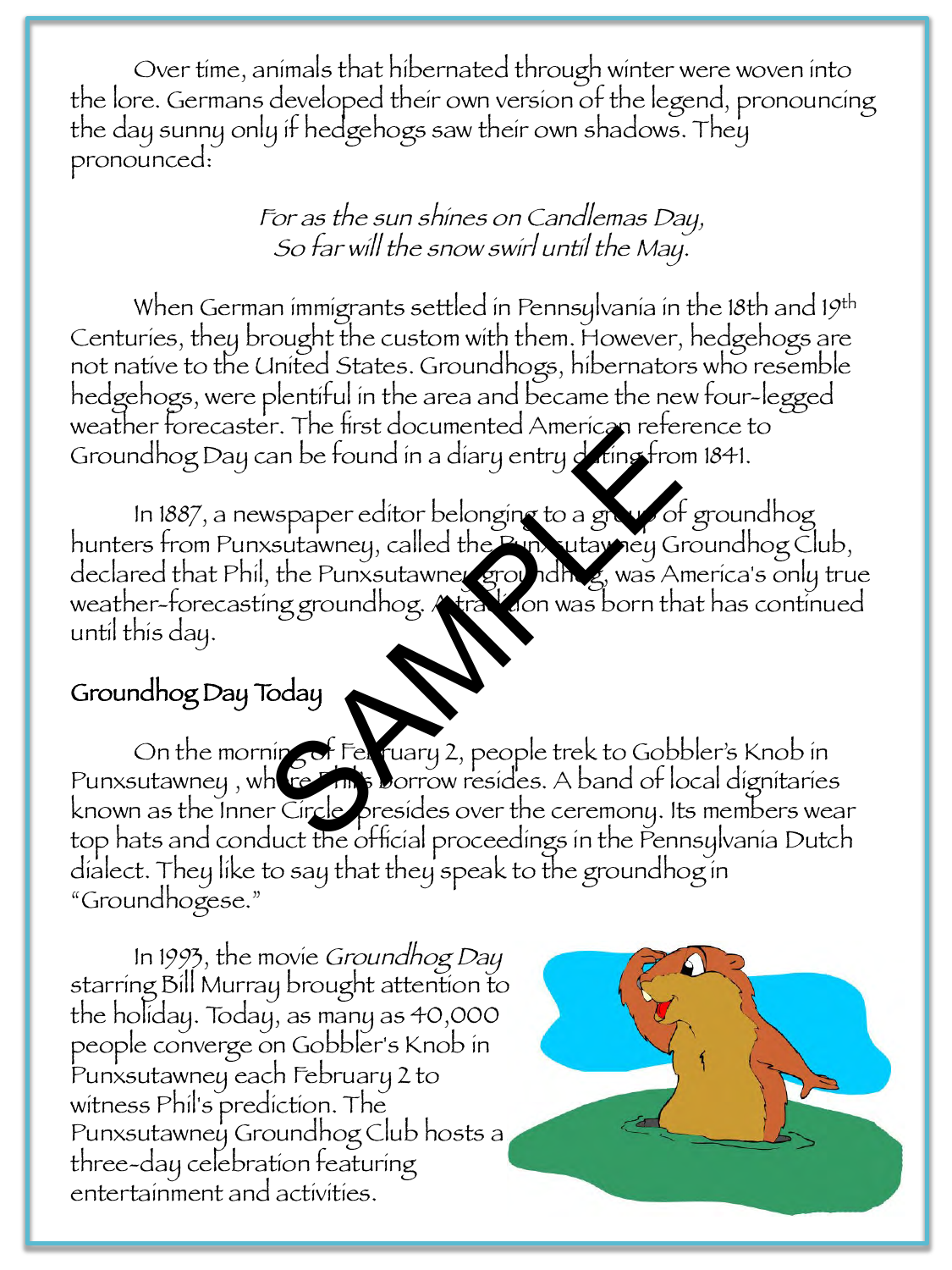Over time, animals that hibernated through winter were woven into the lore. Germans developed their own version of the legend, pronouncing the day sunny only if hedgehogs saw their own shadows. They pronounced:

> For as the sun shines on Candlemas Day, So far will the snow swirl until the May.

When German immigrants settled in Pennsylvania in the 18th and 19th Centuries, they brought the custom with them. However, hedgehogs are not native to the United States. Groundhogs, hibernators who resemble hedgehogs, were plentiful in the area and became the new four-legged weather forecaster. The first documented American reference to Groundhog Day can be found in a diary entry dating from 1841.

In 1887, a newspaper editor belonging to a group of groundhog hunters from Punxsutawney, called the Punxsutawney Groundhog Club, declared that Phil, the Punxsutawney groundhog, was America's only true weather-forecasting groundhog. A tradition was born that has continued until this day. Fr. The first documented American reference<br>
an be found in a diary entry dring from<br>
systematic belonging to a grand of<br>
systematic belonging to a grand of<br>
the Punxsutawner ground has was An<br>
ing groundhog.<br>
Frequency Ap

## Groundhog Day Today

On the morning of February 2, people trek to Gobbler's Knob in Punxsutawney, where **Philip Borrow resides.** A band of local dignitaries known as the Inner Circle, presides over the ceremony. Its members wear top hats and conduct the official proceedings in the Pennsylvania Dutch dialect. They like to say that they speak to the groundhog in "Groundhogese."

In 1993, the movie Groundhog Day starring Bill Murray brought attention to the holiday. Today, as many as 40,000 people converge on Gobbler's Knob in Punxsutawney each February 2 to witness Phil's prediction. The Punxsutawney Groundhog Club hosts a three-day celebration featuring entertainment and activities.

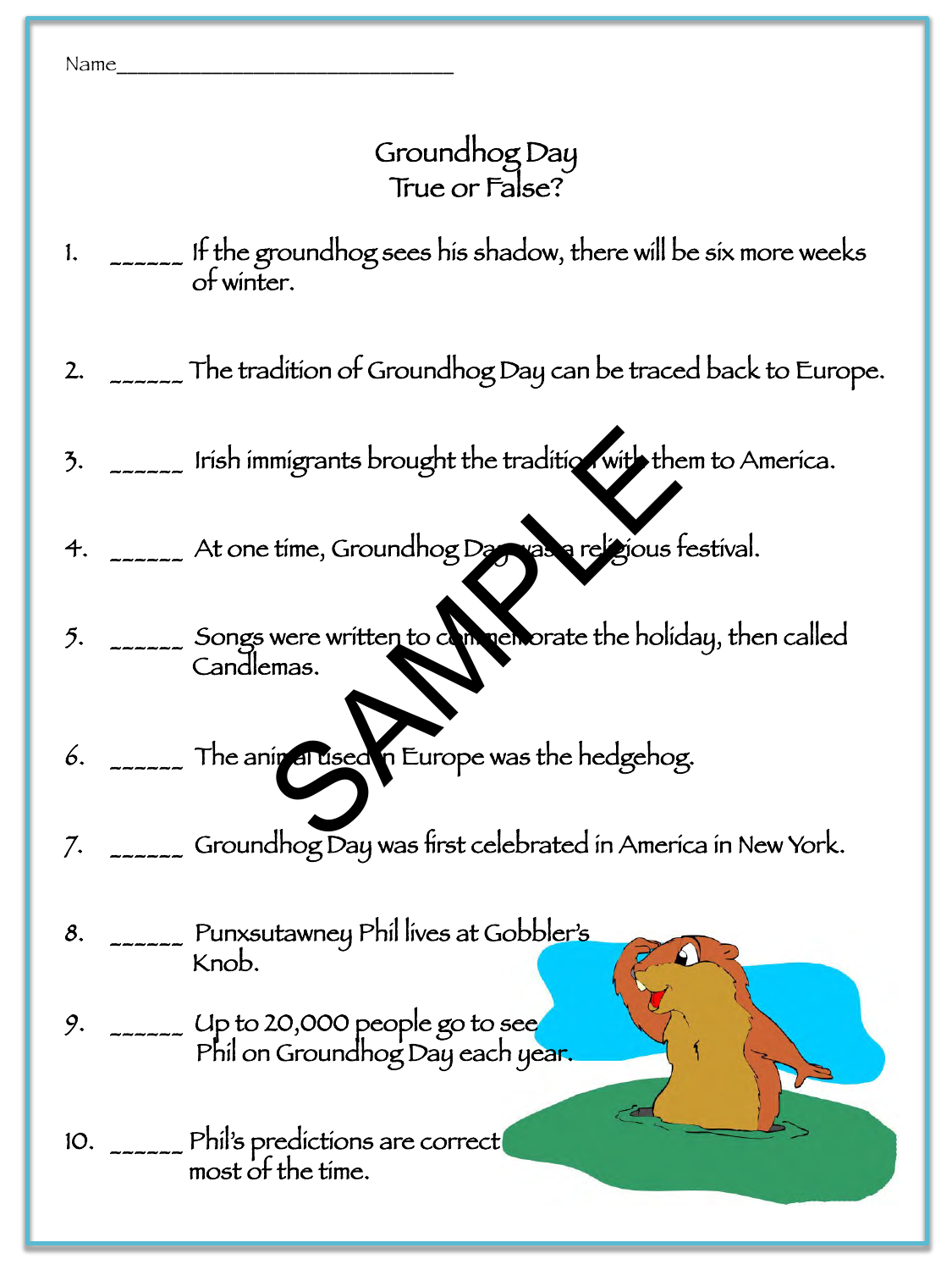Name\_\_\_\_\_\_\_\_\_\_\_\_\_\_\_\_\_\_\_\_\_\_\_\_\_\_\_\_\_\_\_\_ 

## Groundhog Day True or False?

- 1.  $\sim$  \_\_\_\_\_ It the groundhog sees his shadow, there will be six more weeks of winter.
- 2. <sub>\_\_\_\_\_\_</sub> The tradition of Groundhog Day can be traced back to Europe.
- 3.  $\sim$  \_\_\_\_\_ Irish immigrants brought the tradition with them to America.
- 4.  $\sim$   $\sim$  At one time, Groundhog Day was a religious festival.
- 5. \_\_\_\_\_\_ Songs were written to commemorate the holiday, then called Candlemas. International School of the traditional School of the traditional School of the School of the School of the Boliver Department of the Holiver Department of the Holiver Department of the Holiver Department of the March of t
- 6. \_\_\_\_\_\_ The animal used in Europe was the hedgehog.
- 7. \_\_\_\_\_\_ Groundhog Day was first celebrated in America in New York.

 $\mathcal{S}_{\mathcal{S}}$ 

- 8. \_\_\_\_\_\_ Punxsutawney Phil lives at Gobbler's Knob.
- 9.  $\sim$  \_\_\_\_\_ Up to 20,000 people go to see Phil on Groundhog Day each year.
- 10. \_\_\_\_\_\_ Phil's predictions are correct| most of the time.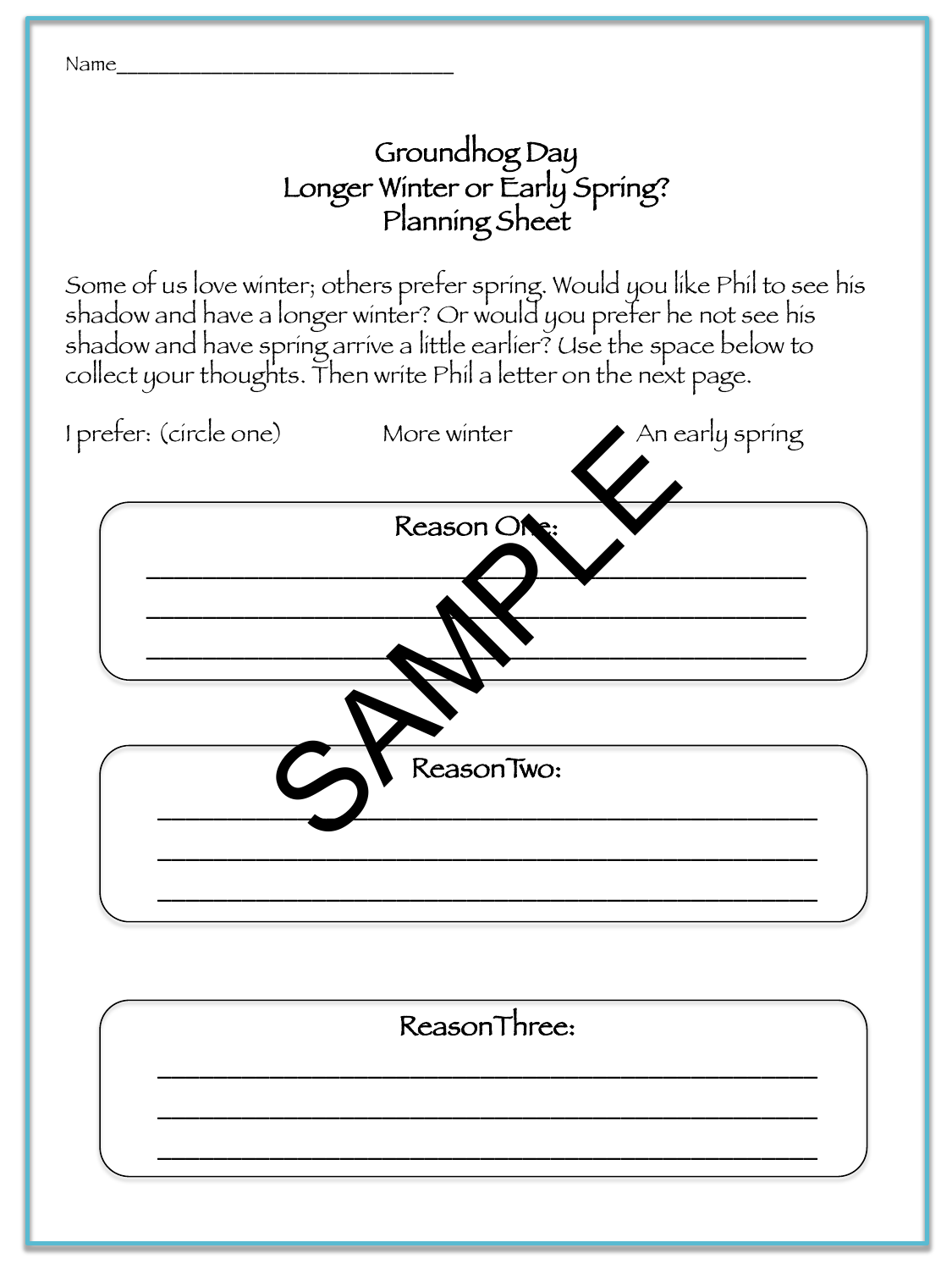

## Groundhog Day Longer Winter or Early Spring? Planning Sheet

Some of us love winter; others prefer spring. Would you like Phil to see his shadow and have a longer winter? Or would you prefer he not see his shadow and have spring arrive a little earlier? Use the space below to collect your thoughts. Then write Phil a letter on the next page.